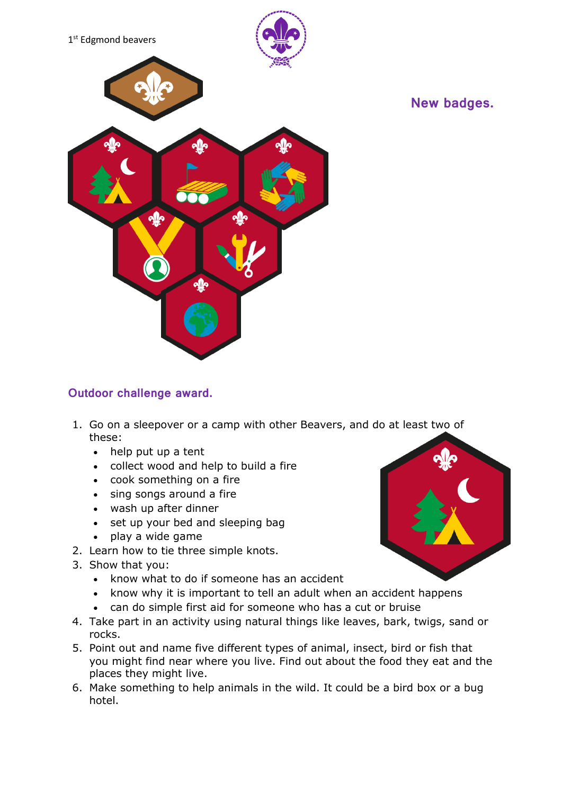

# **New badges.**

### **Outdoor challenge award.**

- 1. Go on a sleepover or a camp with other Beavers, and do at least two of these:
	- help put up a tent
	- collect wood and help to build a fire
	- cook something on a fire
	- sing songs around a fire
	- wash up after dinner
	- set up your bed and sleeping bag
	- play a wide game
- 2. Learn how to tie three simple knots.
- 3. Show that you:
	- know what to do if someone has an accident
	- know why it is important to tell an adult when an accident happens
	- can do simple first aid for someone who has a cut or bruise
- 4. Take part in an activity using natural things like leaves, bark, twigs, sand or rocks.
- 5. Point out and name five different types of animal, insect, bird or fish that you might find near where you live. Find out about the food they eat and the places they might live.
- 6. Make something to help animals in the wild. It could be a bird box or a bug hotel.

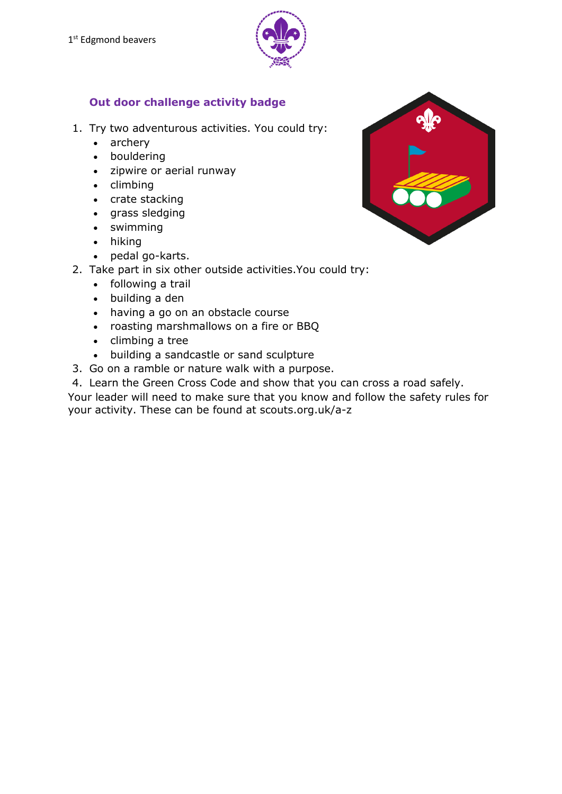

## **Out door challenge activity badge**

- 1. Try two adventurous activities. You could try:
	- archery
	- bouldering
	- zipwire or aerial runway
	- $\bullet$  climbing
	- crate stacking
	- grass sledging
	- swimming
	- hiking
	- pedal go-karts.
- 2. Take part in six other outside activities.You could try:
	- following a trail
	- building a den
	- having a go on an obstacle course
	- roasting marshmallows on a fire or BBQ
	- $\bullet$  climbing a tree
	- building a sandcastle or sand sculpture
- 3. Go on a ramble or nature walk with a purpose.
- 4. Learn the Green Cross Code and show that you can cross a road safely.

Your leader will need to make sure that you know and follow the safety rules for your activity. These can be found at scouts.org.uk/a-z

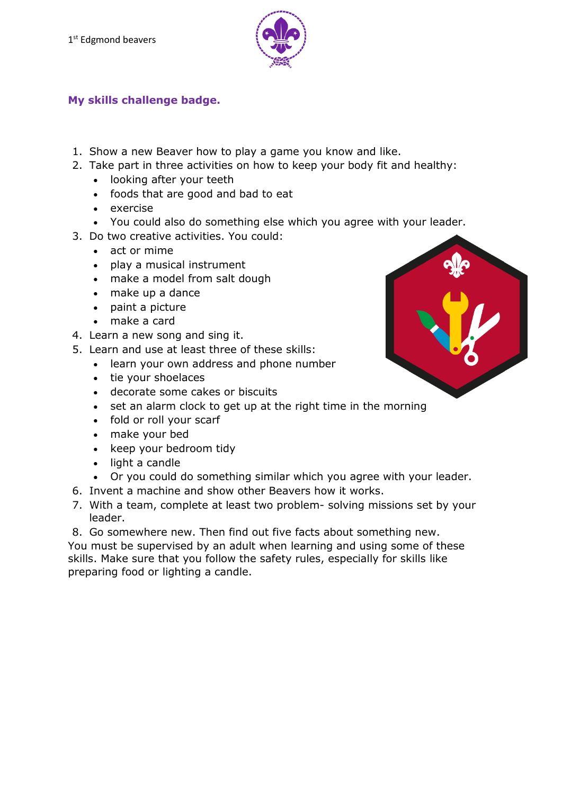

#### **My skills challenge badge.**

- 1. Show a new Beaver how to play a game you know and like.
- 2. Take part in three activities on how to keep your body fit and healthy:
	- looking after your teeth
	- foods that are good and bad to eat
	- exercise
	- You could also do something else which you agree with your leader.
- 3. Do two creative activities. You could:
	- act or mime
	- play a musical instrument
	- make a model from salt dough
	- make up a dance
	- paint a picture
	- make a card
- 4. Learn a new song and sing it.
- 5. Learn and use at least three of these skills:
	- learn your own address and phone number
	- tie your shoelaces
	- decorate some cakes or biscuits
	- set an alarm clock to get up at the right time in the morning
	- fold or roll your scarf
	- make your bed
	- keep your bedroom tidy
	- light a candle
	- Or you could do something similar which you agree with your leader.
- 6. Invent a machine and show other Beavers how it works.
- 7. With a team, complete at least two problem- solving missions set by your leader.

8. Go somewhere new. Then find out five facts about something new. You must be supervised by an adult when learning and using some of these skills. Make sure that you follow the safety rules, especially for skills like preparing food or lighting a candle.

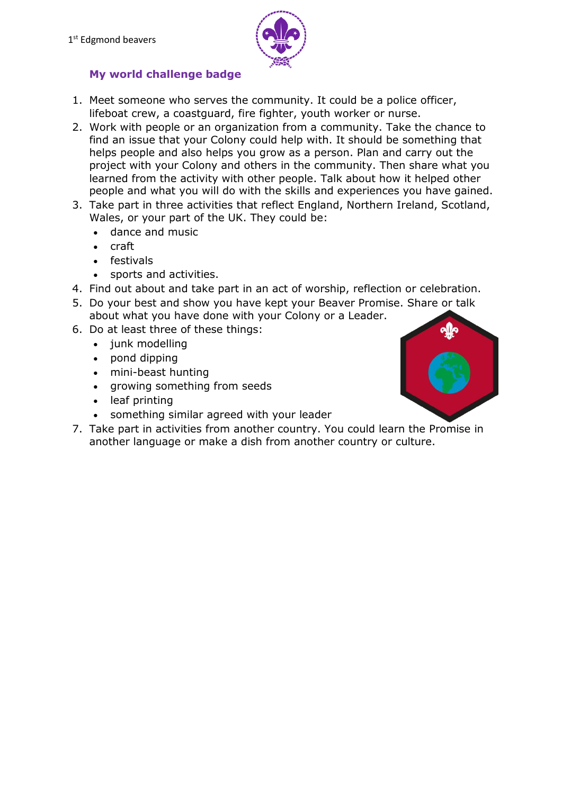

# **My world challenge badge**

- 1. Meet someone who serves the community. It could be a police officer, lifeboat crew, a coastguard, fire fighter, youth worker or nurse.
- 2. Work with people or an organization from a community. Take the chance to find an issue that your Colony could help with. It should be something that helps people and also helps you grow as a person. Plan and carry out the project with your Colony and others in the community. Then share what you learned from the activity with other people. Talk about how it helped other people and what you will do with the skills and experiences you have gained.
- 3. Take part in three activities that reflect England, Northern Ireland, Scotland, Wales, or your part of the UK. They could be:
	- dance and music
	- craft
	- festivals
	- sports and activities.
- 4. Find out about and take part in an act of worship, reflection or celebration.
- 5. Do your best and show you have kept your Beaver Promise. Share or talk about what you have done with your Colony or a Leader.
- 6. Do at least three of these things:
	- junk modelling
	- pond dipping
	- mini-beast hunting
	- growing something from seeds
	- leaf printing
	- something similar agreed with your leader
- 7. Take part in activities from another country. You could learn the Promise in another language or make a dish from another country or culture.

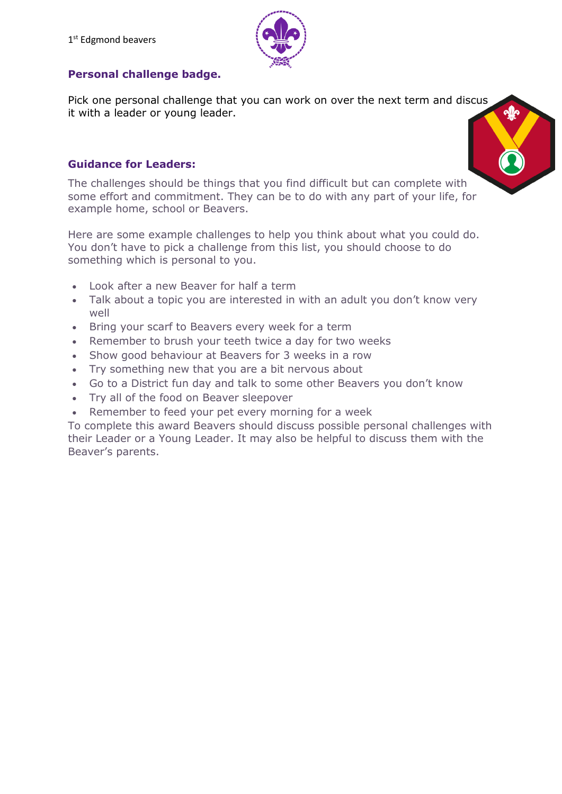

## **Personal challenge badge.**

Pick one personal challenge that you can work on over the next term and discus it with a leader or young leader.



The challenges should be things that you find difficult but can complete with some effort and commitment. They can be to do with any part of your life, for example home, school or Beavers.

Here are some example challenges to help you think about what you could do. You don't have to pick a challenge from this list, you should choose to do something which is personal to you.

- Look after a new Beaver for half a term
- Talk about a topic you are interested in with an adult you don't know very well
- Bring your scarf to Beavers every week for a term
- Remember to brush your teeth twice a day for two weeks
- Show good behaviour at Beavers for 3 weeks in a row
- Try something new that you are a bit nervous about
- Go to a District fun day and talk to some other Beavers you don't know
- Try all of the food on Beaver sleepover
- Remember to feed your pet every morning for a week

To complete this award Beavers should discuss possible personal challenges with their Leader or a Young Leader. It may also be helpful to discuss them with the Beaver's parents.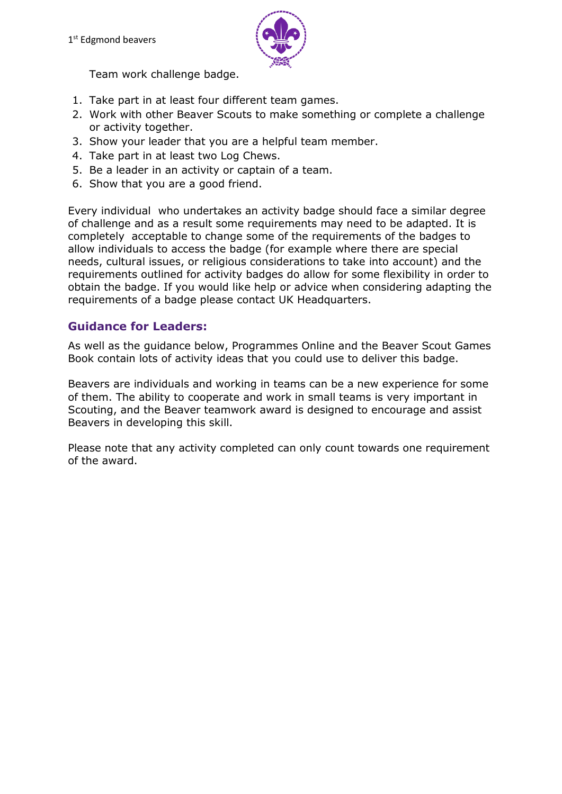

Team work challenge badge.

- 1. Take part in at least four different team games.
- 2. Work with other Beaver Scouts to make something or complete a challenge or activity together.
- 3. Show your leader that you are a helpful team member.
- 4. Take part in at least two Log Chews.
- 5. Be a leader in an activity or captain of a team.
- 6. Show that you are a good friend.

Every individual who undertakes an activity badge should face a similar degree of challenge and as a result some requirements may need to be adapted. It is completely acceptable to change some of the requirements of the badges to allow individuals to access the badge (for example where there are special needs, cultural issues, or religious considerations to take into account) and the requirements outlined for activity badges do allow for some flexibility in order to obtain the badge. If you would like help or advice when considering adapting the requirements of a badge please contact UK Headquarters.

#### **Guidance for Leaders:**

As well as the guidance below, Programmes Online and the Beaver Scout Games Book contain lots of activity ideas that you could use to deliver this badge.

Beavers are individuals and working in teams can be a new experience for some of them. The ability to cooperate and work in small teams is very important in Scouting, and the Beaver teamwork award is designed to encourage and assist Beavers in developing this skill.

Please note that any activity completed can only count towards one requirement of the award.